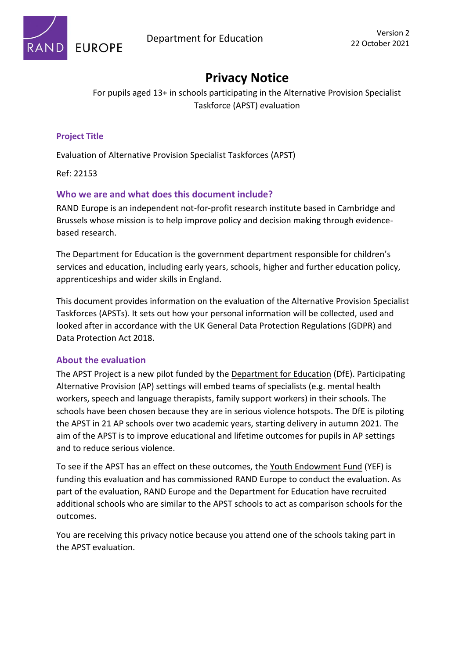

# **Privacy Notice**

For pupils aged 13+ in schools participating in the Alternative Provision Specialist Taskforce (APST) evaluation

### **Project Title**

Evaluation of Alternative Provision Specialist Taskforces (APST)

Ref: 22153

### **Who we are and what does this document include?**

RAND Europe is an independent not-for-profit research institute based in Cambridge and Brussels whose mission is to help improve policy and decision making through evidencebased research.

The Department for Education is the government department responsible for children's services and education, including early years, schools, higher and further education policy, apprenticeships and wider skills in England.

This document provides information on the evaluation of the Alternative Provision Specialist Taskforces (APSTs). It sets out how your personal information will be collected, used and looked after in accordance with the UK General Data Protection Regulations (GDPR) and Data Protection Act 2018.

#### **About the evaluation**

The APST Project is a new pilot funded by the Department for Education (DfE). Participating Alternative Provision (AP) settings will embed teams of specialists (e.g. mental health workers, speech and language therapists, family support workers) in their schools. The schools have been chosen because they are in serious violence hotspots. The DfE is piloting the APST in 21 AP schools over two academic years, starting delivery in autumn 2021. The aim of the APST is to improve educational and lifetime outcomes for pupils in AP settings and to reduce serious violence.

To see if the APST has an effect on these outcomes, the Youth Endowment Fund (YEF) is funding this evaluation and has commissioned RAND Europe to conduct the evaluation. As part of the evaluation, RAND Europe and the Department for Education have recruited additional schools who are similar to the APST schools to act as comparison schools for the outcomes.

You are receiving this privacy notice because you attend one of the schools taking part in the APST evaluation.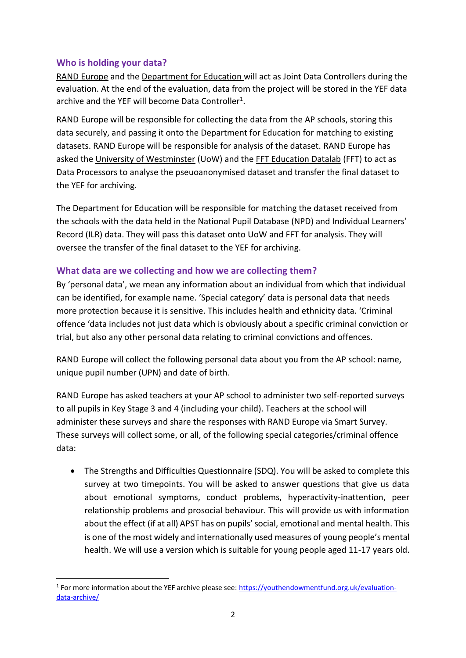### **Who is holding your data?**

RAND Europe and the Department for Education will act as Joint Data Controllers during the evaluation. At the end of the evaluation, data from the project will be stored in the YEF data archive and the YEF will become Data Controller<sup>1</sup>.

RAND Europe will be responsible for collecting the data from the AP schools, storing this data securely, and passing it onto the Department for Education for matching to existing datasets. RAND Europe will be responsible for analysis of the dataset. RAND Europe has asked the University of Westminster (UoW) and the FFT Education Datalab (FFT) to act as Data Processors to analyse the pseuoanonymised dataset and transfer the final dataset to the YEF for archiving.

The Department for Education will be responsible for matching the dataset received from the schools with the data held in the National Pupil Database (NPD) and Individual Learners' Record (ILR) data. They will pass this dataset onto UoW and FFT for analysis. They will oversee the transfer of the final dataset to the YEF for archiving.

### **What data are we collecting and how we are collecting them?**

By 'personal data', we mean any information about an individual from which that individual can be identified, for example name. 'Special category' data is personal data that needs more protection because it is sensitive. This includes health and ethnicity data. 'Criminal offence 'data includes not just data which is obviously about a specific criminal conviction or trial, but also any other personal data relating to criminal convictions and offences.

RAND Europe will collect the following personal data about you from the AP school: name, unique pupil number (UPN) and date of birth.

RAND Europe has asked teachers at your AP school to administer two self-reported surveys to all pupils in Key Stage 3 and 4 (including your child). Teachers at the school will administer these surveys and share the responses with RAND Europe via Smart Survey. These surveys will collect some, or all, of the following special categories/criminal offence data:

• The Strengths and Difficulties Questionnaire (SDQ). You will be asked to complete this survey at two timepoints. You will be asked to answer questions that give us data about emotional symptoms, conduct problems, hyperactivity-inattention, peer relationship problems and prosocial behaviour. This will provide us with information about the effect (if at all) APST has on pupils' social, emotional and mental health. This is one of the most widely and internationally used measures of young people's mental health. We will use a version which is suitable for young people aged 11-17 years old.

<sup>&</sup>lt;sup>1</sup> For more information about the YEF archive please see: **https://youthendowmentfund.org.uk/evaluation**[data-archive/](https://youthendowmentfund.org.uk/evaluation-data-archive/)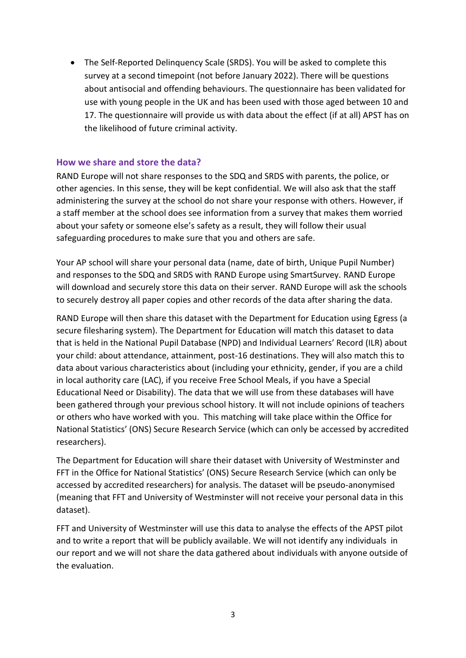• The Self-Reported Delinquency Scale (SRDS). You will be asked to complete this survey at a second timepoint (not before January 2022). There will be questions about antisocial and offending behaviours. The questionnaire has been validated for use with young people in the UK and has been used with those aged between 10 and 17. The questionnaire will provide us with data about the effect (if at all) APST has on the likelihood of future criminal activity.

#### **How we share and store the data?**

RAND Europe will not share responses to the SDQ and SRDS with parents, the police, or other agencies. In this sense, they will be kept confidential. We will also ask that the staff administering the survey at the school do not share your response with others. However, if a staff member at the school does see information from a survey that makes them worried about your safety or someone else's safety as a result, they will follow their usual safeguarding procedures to make sure that you and others are safe.

Your AP school will share your personal data (name, date of birth, Unique Pupil Number) and responses to the SDQ and SRDS with RAND Europe using SmartSurvey. RAND Europe will download and securely store this data on their server. RAND Europe will ask the schools to securely destroy all paper copies and other records of the data after sharing the data.

RAND Europe will then share this dataset with the Department for Education using Egress (a secure filesharing system). The Department for Education will match this dataset to data that is held in the National Pupil Database (NPD) and Individual Learners' Record (ILR) about your child: about attendance, attainment, post-16 destinations. They will also match this to data about various characteristics about (including your ethnicity, gender, if you are a child in local authority care (LAC), if you receive Free School Meals, if you have a Special Educational Need or Disability). The data that we will use from these databases will have been gathered through your previous school history. It will not include opinions of teachers or others who have worked with you. This matching will take place within the Office for National Statistics' (ONS) Secure Research Service (which can only be accessed by accredited researchers).

The Department for Education will share their dataset with University of Westminster and FFT in the Office for National Statistics' (ONS) Secure Research Service (which can only be accessed by accredited researchers) for analysis. The dataset will be pseudo-anonymised (meaning that FFT and University of Westminster will not receive your personal data in this dataset).

FFT and University of Westminster will use this data to analyse the effects of the APST pilot and to write a report that will be publicly available. We will not identify any individuals in our report and we will not share the data gathered about individuals with anyone outside of the evaluation.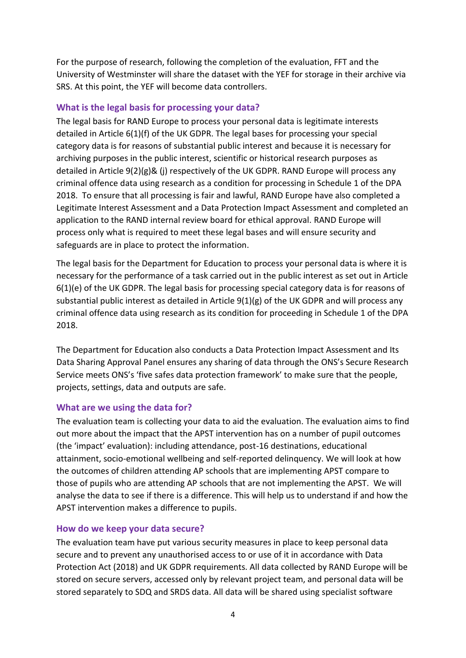For the purpose of research, following the completion of the evaluation, FFT and the University of Westminster will share the dataset with the YEF for storage in their archive via SRS. At this point, the YEF will become data controllers.

#### **What is the legal basis for processing your data?**

The legal basis for RAND Europe to process your personal data is legitimate interests detailed in Article 6(1)(f) of the UK GDPR. The legal bases for processing your special category data is for reasons of substantial public interest and because it is necessary for archiving purposes in the public interest, scientific or historical research purposes as detailed in Article 9(2)(g)& (j) respectively of the UK GDPR. RAND Europe will process any criminal offence data using research as a condition for processing in Schedule 1 of the DPA 2018. To ensure that all processing is fair and lawful, RAND Europe have also completed a Legitimate Interest Assessment and a Data Protection Impact Assessment and completed an application to the RAND internal review board for ethical approval. RAND Europe will process only what is required to meet these legal bases and will ensure security and safeguards are in place to protect the information.

The legal basis for the Department for Education to process your personal data is where it is necessary for the performance of a task carried out in the public interest as set out in Article 6(1)(e) of the UK GDPR. The legal basis for processing special category data is for reasons of substantial public interest as detailed in Article 9(1)(g) of the UK GDPR and will process any criminal offence data using research as its condition for proceeding in Schedule 1 of the DPA 2018.

The Department for Education also conducts a Data Protection Impact Assessment and Its Data Sharing Approval Panel ensures any sharing of data through the ONS's Secure Research Service meets ONS's 'five safes data protection framework' to make sure that the people, projects, settings, data and outputs are safe.

## **What are we using the data for?**

The evaluation team is collecting your data to aid the evaluation. The evaluation aims to find out more about the impact that the APST intervention has on a number of pupil outcomes (the 'impact' evaluation): including attendance, post-16 destinations, educational attainment, socio-emotional wellbeing and self-reported delinquency. We will look at how the outcomes of children attending AP schools that are implementing APST compare to those of pupils who are attending AP schools that are not implementing the APST. We will analyse the data to see if there is a difference. This will help us to understand if and how the APST intervention makes a difference to pupils.

#### **How do we keep your data secure?**

The evaluation team have put various security measures in place to keep personal data secure and to prevent any unauthorised access to or use of it in accordance with Data Protection Act (2018) and UK GDPR requirements. All data collected by RAND Europe will be stored on secure servers, accessed only by relevant project team, and personal data will be stored separately to SDQ and SRDS data. All data will be shared using specialist software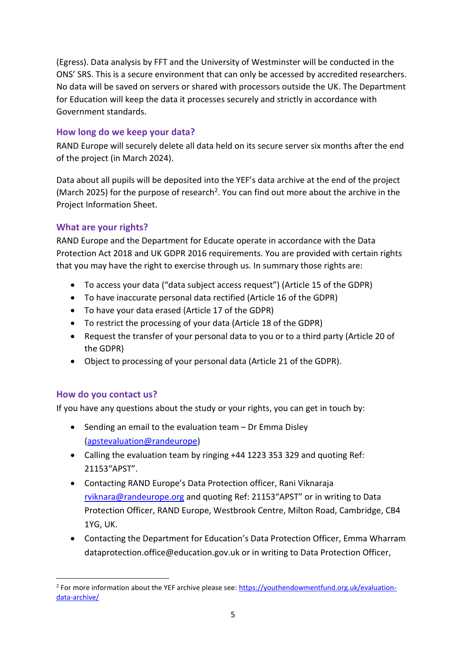(Egress). Data analysis by FFT and the University of Westminster will be conducted in the ONS' SRS. This is a secure environment that can only be accessed by accredited researchers. No data will be saved on servers or shared with processors outside the UK. The Department for Education will keep the data it processes securely and strictly in accordance with Government standards.

## **How long do we keep your data?**

RAND Europe will securely delete all data held on its secure server six months after the end of the project (in March 2024).

Data about all pupils will be deposited into the YEF's data archive at the end of the project (March 2025) for the purpose of research<sup>2</sup>. You can find out more about the archive in the Project Information Sheet.

## **What are your rights?**

RAND Europe and the Department for Educate operate in accordance with the Data Protection Act 2018 and UK GDPR 2016 requirements. You are provided with certain rights that you may have the right to exercise through us. In summary those rights are:

- To access your data ("data subject access request") (Article 15 of the GDPR)
- To have inaccurate personal data rectified (Article 16 of the GDPR)
- To have your data erased (Article 17 of the GDPR)
- To restrict the processing of your data (Article 18 of the GDPR)
- Request the transfer of your personal data to you or to a third party (Article 20 of the GDPR)
- Object to processing of your personal data (Article 21 of the GDPR).

## **How do you contact us?**

If you have any questions about the study or your rights, you can get in touch by:

- Sending an email to the evaluation team Dr Emma Disley (apstevaluation@randeurope)
- Calling the evaluation team by ringing +44 1223 353 329 and quoting Ref: 21153"APST".
- Contacting RAND Europe's Data Protection officer, Rani Viknaraja [rviknara@randeurope.org](mailto:rviknara@randeurope.org) and quoting Ref: 21153"APST" or in writing to Data Protection Officer, RAND Europe, Westbrook Centre, Milton Road, Cambridge, CB4 1YG, UK.
- Contacting the Department for Education's Data Protection Officer, Emma Wharram dataprotection.office@education.gov.uk or in writing to Data Protection Officer,

<sup>&</sup>lt;sup>2</sup> For more information about the YEF archive please see: **https://youthendowmentfund.org.uk/evaluation**[data-archive/](https://youthendowmentfund.org.uk/evaluation-data-archive/)